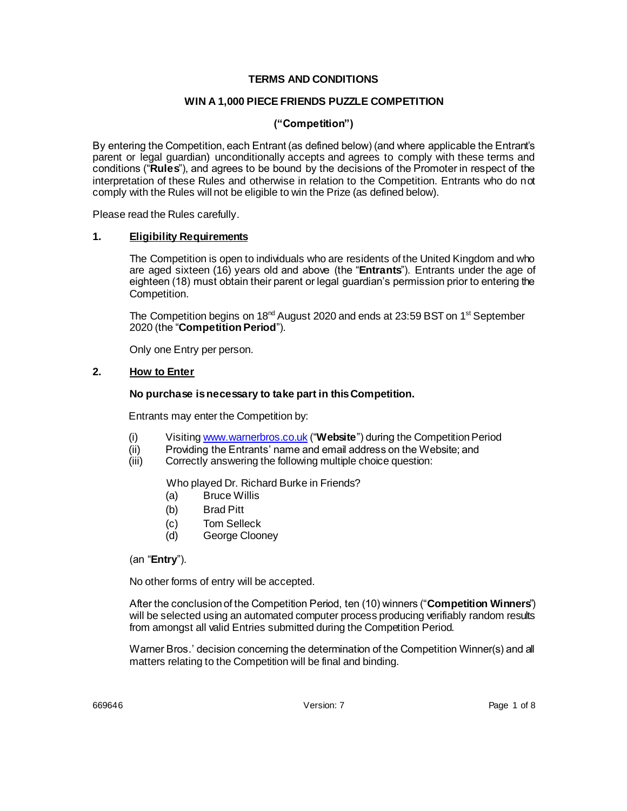### **TERMS AND CONDITIONS**

### **WIN A 1,000 PIECE FRIENDS PUZZLE COMPETITION**

### **("Competition")**

By entering the Competition, each Entrant (as defined below) (and where applicable the Entrant's parent or legal guardian) unconditionally accepts and agrees to comply with these terms and conditions ("**Rules**"), and agrees to be bound by the decisions of the Promoter in respect of the interpretation of these Rules and otherwise in relation to the Competition. Entrants who do not comply with the Rules will not be eligible to win the Prize (as defined below).

Please read the Rules carefully.

#### **1. Eligibility Requirements**

The Competition is open to individuals who are residents of the United Kingdom and who are aged sixteen (16) years old and above (the "**Entrants**"). Entrants under the age of eighteen (18) must obtain their parent or legal guardian's permission prior to entering the Competition.

The Competition begins on 18<sup>nd</sup> August 2020 and ends at 23:59 BST on 1<sup>st</sup> September 2020 (the "**Competition Period**").

Only one Entry per person.

### **2. How to Enter**

#### **No purchase is necessary to take part in this Competition.**

Entrants may enter the Competition by:

- (i) Visitin[g www.warnerbros.co.uk](http://www.warnerbros.co.uk/) ("**Website**") during the Competition Period
- (ii) Providing the Entrants' name and email address on the Website; and<br>(iii) Correctly answering the following multiple choice question:
- Correctly answering the following multiple choice question:

Who played Dr. Richard Burke in Friends?

- (a) Bruce Willis
- (b) Brad Pitt
- (c) Tom Selleck
- (d) George Clooney

## (an "**Entry**").

No other forms of entry will be accepted.

After the conclusion of the Competition Period, ten (10) winners ("**Competition Winners**") will be selected using an automated computer process producing verifiably random results from amongst all valid Entries submitted during the Competition Period.

Warner Bros.' decision concerning the determination of the Competition Winner(s) and all matters relating to the Competition will be final and binding.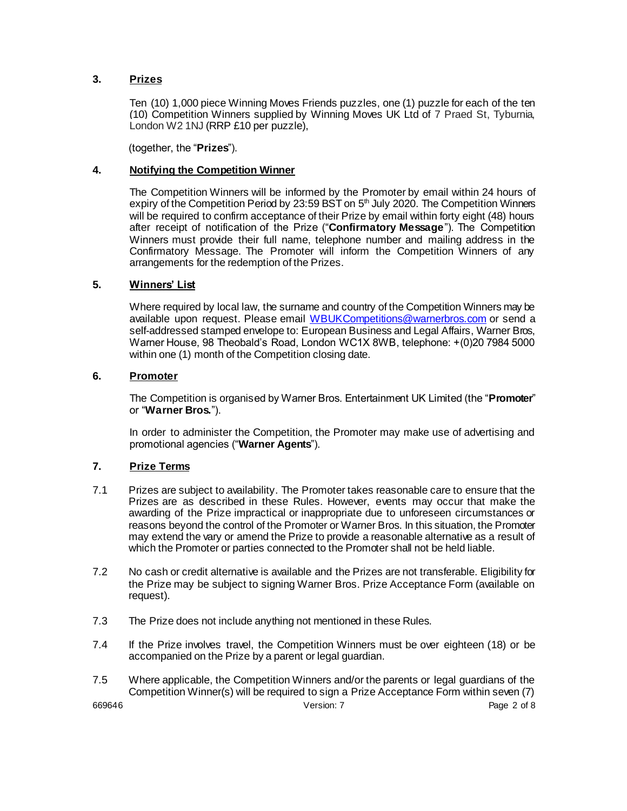## **3. Prizes**

Ten (10) 1,000 piece Winning Moves Friends puzzles, one (1) puzzle for each of the ten (10) Competition Winners supplied by Winning Moves UK Ltd of 7 Praed St, Tyburnia, London W2 1NJ (RRP £10 per puzzle),

(together, the "**Prizes**").

## **4. Notifying the Competition Winner**

The Competition Winners will be informed by the Promoter by email within 24 hours of expiry of the Competition Period by 23:59 BST on 5<sup>th</sup> July 2020. The Competition Winners will be required to confirm acceptance of their Prize by email within forty eight (48) hours after receipt of notification of the Prize ("**Confirmatory Message**"). The Competition Winners must provide their full name, telephone number and mailing address in the Confirmatory Message. The Promoter will inform the Competition Winners of any arrangements for the redemption of the Prizes.

## **5. Winners' List**

Where required by local law, the surname and country of the Competition Winners may be available upon request. Please email [WBUKCompetitions@warnerbros.com](mailto:WBUKCompetitions@warnerbros.com) or send a self-addressed stamped envelope to: European Business and Legal Affairs, Warner Bros, Warner House, 98 Theobald's Road, London WC1X 8WB, telephone: +(0)20 7984 5000 within one (1) month of the Competition closing date.

## **6. Promoter**

The Competition is organised by Warner Bros. Entertainment UK Limited (the "**Promoter**" or "**Warner Bros.**").

In order to administer the Competition, the Promoter may make use of advertising and promotional agencies ("**Warner Agents**").

## **7. Prize Terms**

- 7.1 Prizes are subject to availability. The Promoter takes reasonable care to ensure that the Prizes are as described in these Rules. However, events may occur that make the awarding of the Prize impractical or inappropriate due to unforeseen circumstances or reasons beyond the control of the Promoter or Warner Bros. In this situation, the Promoter may extend the vary or amend the Prize to provide a reasonable alternative as a result of which the Promoter or parties connected to the Promoter shall not be held liable.
- 7.2 No cash or credit alternative is available and the Prizes are not transferable. Eligibility for the Prize may be subject to signing Warner Bros. Prize Acceptance Form (available on request).
- 7.3 The Prize does not include anything not mentioned in these Rules.
- 7.4 If the Prize involves travel, the Competition Winners must be over eighteen (18) or be accompanied on the Prize by a parent or legal guardian.
- 7.5 Where applicable, the Competition Winners and/or the parents or legal guardians of the Competition Winner(s) will be required to sign a Prize Acceptance Form within seven (7)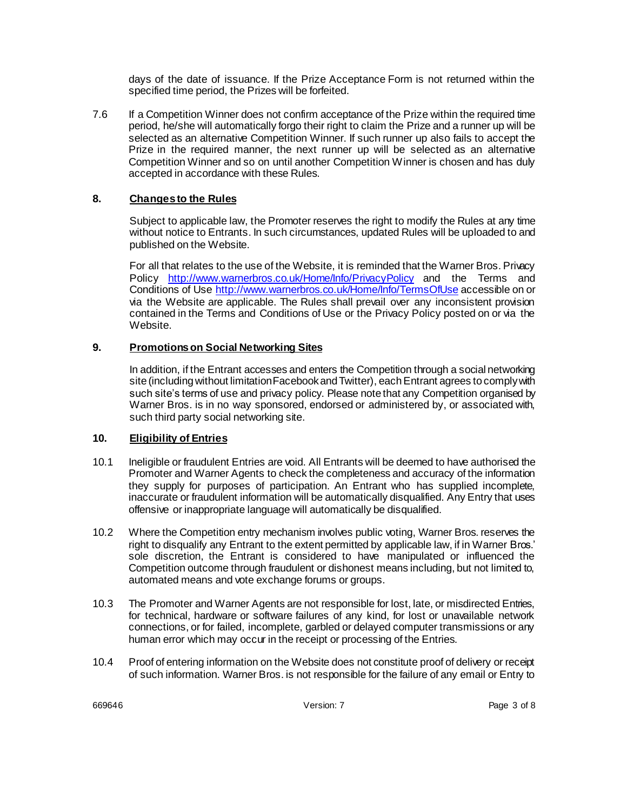days of the date of issuance. If the Prize Acceptance Form is not returned within the specified time period, the Prizes will be forfeited.

7.6 If a Competition Winner does not confirm acceptance of the Prize within the required time period, he/she will automatically forgo their right to claim the Prize and a runner up will be selected as an alternative Competition Winner. If such runner up also fails to accept the Prize in the required manner, the next runner up will be selected as an alternative Competition Winner and so on until another Competition Winner is chosen and has duly accepted in accordance with these Rules.

## **8. Changes to the Rules**

Subject to applicable law, the Promoter reserves the right to modify the Rules at any time without notice to Entrants. In such circumstances, updated Rules will be uploaded to and published on the Website.

For all that relates to the use of the Website, it is reminded that the Warner Bros. Privacy Policy <http://www.warnerbros.co.uk/Home/Info/PrivacyPolicy> and the Terms and Conditions of Use<http://www.warnerbros.co.uk/Home/Info/TermsOfUse> accessible on or via the Website are applicable. The Rules shall prevail over any inconsistent provision contained in the Terms and Conditions of Use or the Privacy Policy posted on or via the Website.

## **9. Promotions on Social Networking Sites**

In addition, if the Entrant accesses and enters the Competition through a social networking site (including without limitation Facebook and Twitter), each Entrant agrees to comply with such site's terms of use and privacy policy. Please note that any Competition organised by Warner Bros. is in no way sponsored, endorsed or administered by, or associated with, such third party social networking site.

## **10. Eligibility of Entries**

- 10.1 Ineligible or fraudulent Entries are void. All Entrants will be deemed to have authorised the Promoter and Warner Agents to check the completeness and accuracy of the information they supply for purposes of participation. An Entrant who has supplied incomplete, inaccurate or fraudulent information will be automatically disqualified. Any Entry that uses offensive or inappropriate language will automatically be disqualified.
- 10.2 Where the Competition entry mechanism involves public voting, Warner Bros. reserves the right to disqualify any Entrant to the extent permitted by applicable law, if in Warner Bros.' sole discretion, the Entrant is considered to have manipulated or influenced the Competition outcome through fraudulent or dishonest means including, but not limited to, automated means and vote exchange forums or groups.
- 10.3 The Promoter and Warner Agents are not responsible for lost, late, or misdirected Entries, for technical, hardware or software failures of any kind, for lost or unavailable network connections, or for failed, incomplete, garbled or delayed computer transmissions or any human error which may occur in the receipt or processing of the Entries.
- 10.4 Proof of entering information on the Website does not constitute proof of delivery or receipt of such information. Warner Bros. is not responsible for the failure of any email or Entry to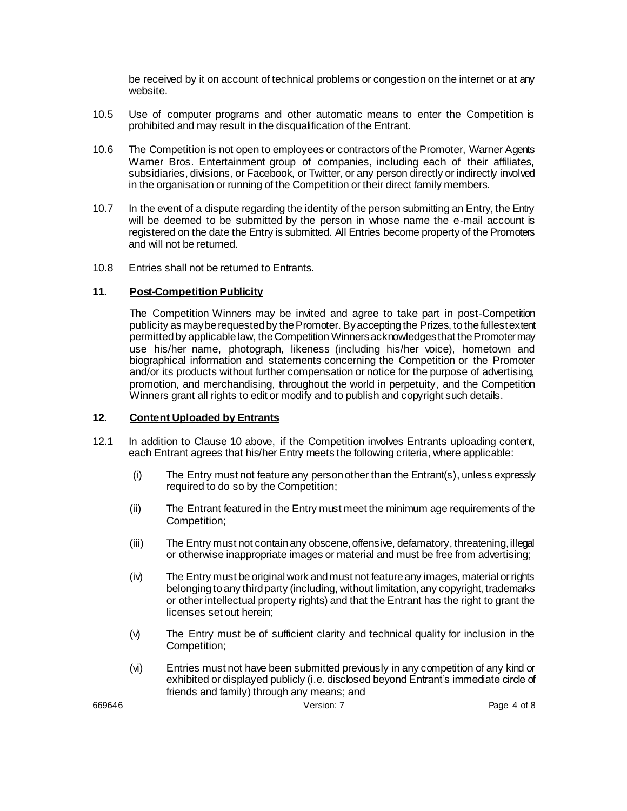be received by it on account of technical problems or congestion on the internet or at any website.

- 10.5 Use of computer programs and other automatic means to enter the Competition is prohibited and may result in the disqualification of the Entrant.
- 10.6 The Competition is not open to employees or contractors of the Promoter, Warner Agents Warner Bros. Entertainment group of companies, including each of their affiliates, subsidiaries, divisions, or Facebook, or Twitter, or any person directly or indirectly involved in the organisation or running of the Competition or their direct family members.
- 10.7 In the event of a dispute regarding the identity of the person submitting an Entry, the Entry will be deemed to be submitted by the person in whose name the e-mail account is registered on the date the Entry is submitted. All Entries become property of the Promoters and will not be returned.
- 10.8 Entries shall not be returned to Entrants.

## **11. Post-Competition Publicity**

The Competition Winners may be invited and agree to take part in post-Competition publicity as may be requested by the Promoter. By accepting the Prizes, to the fullest extent permitted by applicable law, the Competition Winnersacknowledges that the Promoter may use his/her name, photograph, likeness (including his/her voice), hometown and biographical information and statements concerning the Competition or the Promoter and/or its products without further compensation or notice for the purpose of advertising, promotion, and merchandising, throughout the world in perpetuity, and the Competition Winners grant all rights to edit or modify and to publish and copyright such details.

### **12. Content Uploaded by Entrants**

- 12.1 In addition to Clause 10 above, if the Competition involves Entrants uploading content, each Entrant agrees that his/her Entry meets the following criteria, where applicable:
	- (i) The Entry must not feature any person other than the Entrant(s), unless expressly required to do so by the Competition;
	- (ii) The Entrant featured in the Entry must meet the minimum age requirements of the Competition;
	- (iii) The Entry must not contain any obscene, offensive, defamatory, threatening, illegal or otherwise inappropriate images or material and must be free from advertising;
	- (iv) The Entry must be original work and must not feature any images, material or rights belonging to any third party (including, without limitation, any copyright, trademarks or other intellectual property rights) and that the Entrant has the right to grant the licenses set out herein;
	- (v) The Entry must be of sufficient clarity and technical quality for inclusion in the Competition;
	- (vi) Entries must not have been submitted previously in any competition of any kind or exhibited or displayed publicly (i.e. disclosed beyond Entrant's immediate circle of friends and family) through any means; and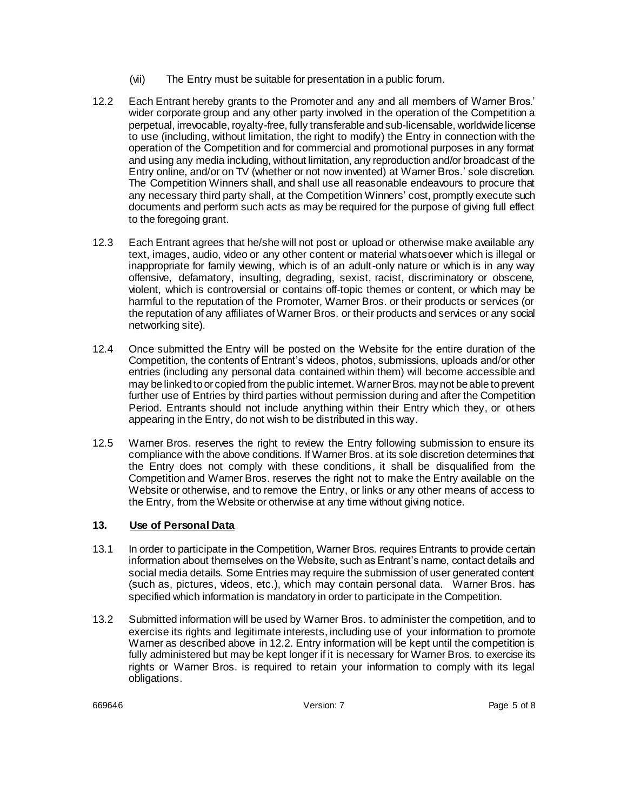- (vii) The Entry must be suitable for presentation in a public forum.
- 12.2 Each Entrant hereby grants to the Promoter and any and all members of Warner Bros.' wider corporate group and any other party involved in the operation of the Competition a perpetual, irrevocable, royalty-free, fully transferable and sub-licensable, worldwide license to use (including, without limitation, the right to modify) the Entry in connection with the operation of the Competition and for commercial and promotional purposes in any format and using any media including, without limitation, any reproduction and/or broadcast of the Entry online, and/or on TV (whether or not now invented) at Warner Bros.' sole discretion. The Competition Winners shall, and shall use all reasonable endeavours to procure that any necessary third party shall, at the Competition Winners' cost, promptly execute such documents and perform such acts as may be required for the purpose of giving full effect to the foregoing grant.
- 12.3 Each Entrant agrees that he/she will not post or upload or otherwise make available any text, images, audio, video or any other content or material whatsoever which is illegal or inappropriate for family viewing, which is of an adult-only nature or which is in any way offensive, defamatory, insulting, degrading, sexist, racist, discriminatory or obscene, violent, which is controversial or contains off-topic themes or content, or which may be harmful to the reputation of the Promoter, Warner Bros. or their products or services (or the reputation of any affiliates of Warner Bros. or their products and services or any social networking site).
- 12.4 Once submitted the Entry will be posted on the Website for the entire duration of the Competition, the contents of Entrant's videos, photos, submissions, uploads and/or other entries (including any personal data contained within them) will become accessible and may be linked to or copied from the public internet. Warner Bros. may not be able to prevent further use of Entries by third parties without permission during and after the Competition Period. Entrants should not include anything within their Entry which they, or others appearing in the Entry, do not wish to be distributed in this way.
- 12.5 Warner Bros. reserves the right to review the Entry following submission to ensure its compliance with the above conditions. If Warner Bros. at its sole discretion determines that the Entry does not comply with these conditions, it shall be disqualified from the Competition and Warner Bros. reserves the right not to make the Entry available on the Website or otherwise, and to remove the Entry, or links or any other means of access to the Entry, from the Website or otherwise at any time without giving notice.

## **13. Use of Personal Data**

- 13.1 In order to participate in the Competition, Warner Bros. requires Entrants to provide certain information about themselves on the Website, such as Entrant's name, contact details and social media details. Some Entries may require the submission of user generated content (such as, pictures, videos, etc.), which may contain personal data. Warner Bros. has specified which information is mandatory in order to participate in the Competition.
- 13.2 Submitted information will be used by Warner Bros. to administer the competition, and to exercise its rights and legitimate interests, including use of your information to promote Warner as described above in 12.2. Entry information will be kept until the competition is fully administered but may be kept longer if it is necessary for Warner Bros. to exercise its rights or Warner Bros. is required to retain your information to comply with its legal obligations.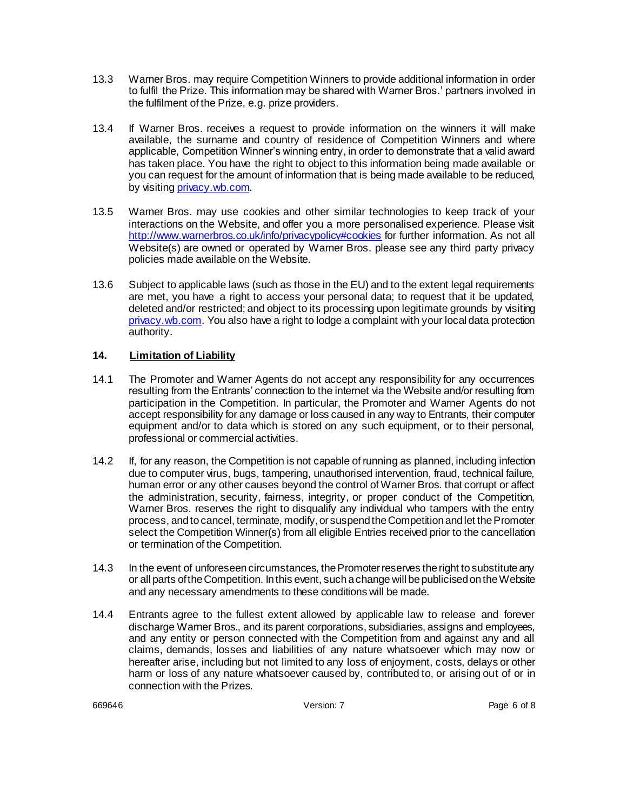- 13.3 Warner Bros. may require Competition Winners to provide additional information in order to fulfil the Prize. This information may be shared with Warner Bros.' partners involved in the fulfilment of the Prize, e.g. prize providers.
- 13.4 If Warner Bros. receives a request to provide information on the winners it will make available, the surname and country of residence of Competition Winners and where applicable, Competition Winner's winning entry, in order to demonstrate that a valid award has taken place. You have the right to object to this information being made available or you can request for the amount of information that is being made available to be reduced, by visiting privacy.wb.com.
- 13.5 Warner Bros. may use cookies and other similar technologies to keep track of your interactions on the Website, and offer you a more personalised experience. Please visit <http://www.warnerbros.co.uk/info/privacypolicy#cookies> for further information. As not all Website(s) are owned or operated by Warner Bros. please see any third party privacy policies made available on the Website.
- 13.6 Subject to applicable laws (such as those in the EU) and to the extent legal requirements are met, you have a right to access your personal data; to request that it be updated, deleted and/or restricted; and object to its processing upon legitimate grounds by visiting privacy.wb.com. You also have a right to lodge a complaint with your local data protection authority.

# **14. Limitation of Liability**

- 14.1 The Promoter and Warner Agents do not accept any responsibility for any occurrences resulting from the Entrants' connection to the internet via the Website and/or resulting from participation in the Competition. In particular, the Promoter and Warner Agents do not accept responsibility for any damage or loss caused in any way to Entrants, their computer equipment and/or to data which is stored on any such equipment, or to their personal, professional or commercial activities.
- 14.2 If, for any reason, the Competition is not capable of running as planned, including infection due to computer virus, bugs, tampering, unauthorised intervention, fraud, technical failure, human error or any other causes beyond the control of Warner Bros. that corrupt or affect the administration, security, fairness, integrity, or proper conduct of the Competition, Warner Bros. reserves the right to disqualify any individual who tampers with the entry process, and to cancel, terminate, modify, or suspend the Competition and let the Promoter select the Competition Winner(s) from all eligible Entries received prior to the cancellation or termination of the Competition.
- 14.3 In the event of unforeseen circumstances, the Promoter reserves the right to substitute any or all parts of the Competition. In this event, such a change will be publicised on the Website and any necessary amendments to these conditions will be made.
- 14.4 Entrants agree to the fullest extent allowed by applicable law to release and forever discharge Warner Bros., and its parent corporations, subsidiaries, assigns and employees, and any entity or person connected with the Competition from and against any and all claims, demands, losses and liabilities of any nature whatsoever which may now or hereafter arise, including but not limited to any loss of enjoyment, costs, delays or other harm or loss of any nature whatsoever caused by, contributed to, or arising out of or in connection with the Prizes.